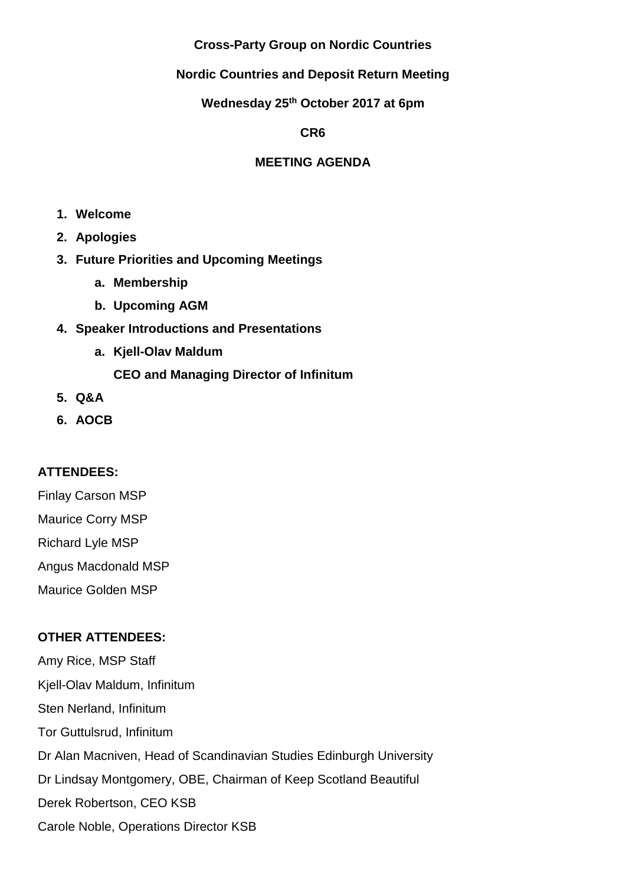### **Cross-Party Group on Nordic Countries**

## **Nordic Countries and Deposit Return Meeting**

## **Wednesday 25th October 2017 at 6pm**

**CR6** 

## **MEETING AGENDA**

- **1. Welcome**
- **2. Apologies**
- **3. Future Priorities and Upcoming Meetings**
	- **a. Membership**
	- **b. Upcoming AGM**
- **4. Speaker Introductions and Presentations**
	- **a. Kjell-Olav Maldum**

# **CEO and Managing Director of Infinitum**

- **5. Q&A**
- **6. AOCB**

# **ATTENDEES:**

Finlay Carson MSP Maurice Corry MSP Richard Lyle MSP Angus Macdonald MSP Maurice Golden MSP

# **OTHER ATTENDEES:**

Amy Rice, MSP Staff Kjell-Olav Maldum, Infinitum Sten Nerland, Infinitum Tor Guttulsrud, Infinitum Dr Alan Macniven, Head of Scandinavian Studies Edinburgh University Dr Lindsay Montgomery, OBE, Chairman of Keep Scotland Beautiful Derek Robertson, CEO KSB Carole Noble, Operations Director KSB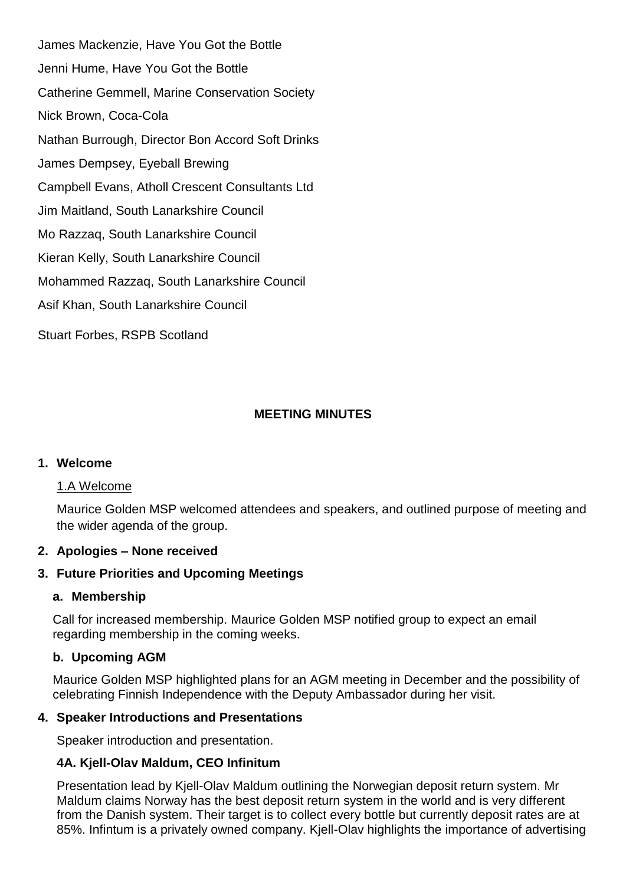James Mackenzie, Have You Got the Bottle Jenni Hume, Have You Got the Bottle Catherine Gemmell, Marine Conservation Society Nick Brown, Coca-Cola Nathan Burrough, Director Bon Accord Soft Drinks James Dempsey, Eyeball Brewing Campbell Evans, Atholl Crescent Consultants Ltd Jim Maitland, South Lanarkshire Council Mo Razzaq, South Lanarkshire Council Kieran Kelly, South Lanarkshire Council Mohammed Razzaq, South Lanarkshire Council Asif Khan, South Lanarkshire Council Stuart Forbes, RSPB Scotland

## **MEETING MINUTES**

### **1. Welcome**

#### 1.A Welcome

Maurice Golden MSP welcomed attendees and speakers, and outlined purpose of meeting and the wider agenda of the group.

#### **2. Apologies – None received**

#### **3. Future Priorities and Upcoming Meetings**

#### **a. Membership**

Call for increased membership. Maurice Golden MSP notified group to expect an email regarding membership in the coming weeks.

### **b. Upcoming AGM**

Maurice Golden MSP highlighted plans for an AGM meeting in December and the possibility of celebrating Finnish Independence with the Deputy Ambassador during her visit.

### **4. Speaker Introductions and Presentations**

Speaker introduction and presentation.

### **4A. Kjell-Olav Maldum, CEO Infinitum**

Presentation lead by Kjell-Olav Maldum outlining the Norwegian deposit return system. Mr Maldum claims Norway has the best deposit return system in the world and is very different from the Danish system. Their target is to collect every bottle but currently deposit rates are at 85%. Infintum is a privately owned company. Kjell-Olav highlights the importance of advertising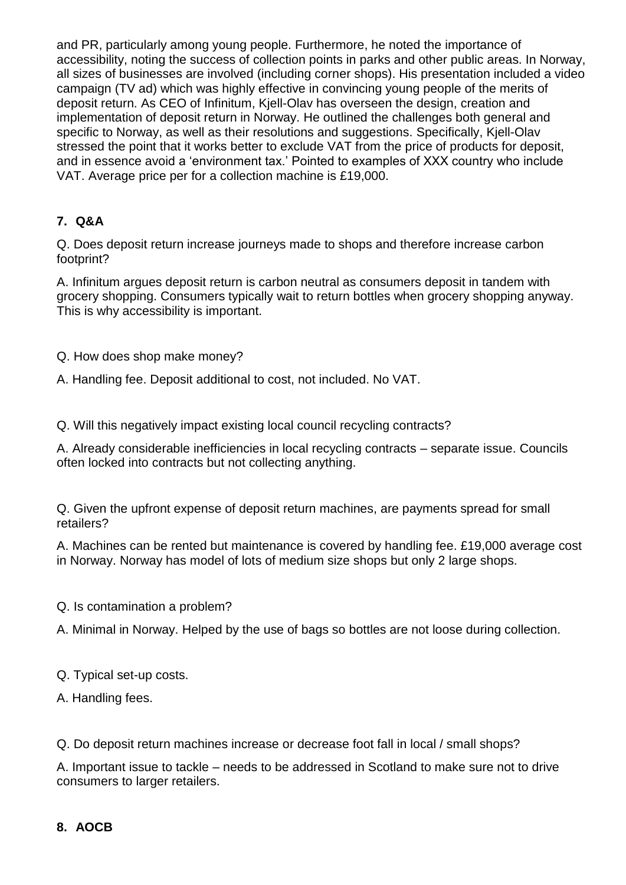and PR, particularly among young people. Furthermore, he noted the importance of accessibility, noting the success of collection points in parks and other public areas. In Norway, all sizes of businesses are involved (including corner shops). His presentation included a video campaign (TV ad) which was highly effective in convincing young people of the merits of deposit return. As CEO of Infinitum, Kjell-Olav has overseen the design, creation and implementation of deposit return in Norway. He outlined the challenges both general and specific to Norway, as well as their resolutions and suggestions. Specifically, Kjell-Olav stressed the point that it works better to exclude VAT from the price of products for deposit, and in essence avoid a 'environment tax.' Pointed to examples of XXX country who include VAT. Average price per for a collection machine is £19,000.

## **7. Q&A**

Q. Does deposit return increase journeys made to shops and therefore increase carbon footprint?

A. Infinitum argues deposit return is carbon neutral as consumers deposit in tandem with grocery shopping. Consumers typically wait to return bottles when grocery shopping anyway. This is why accessibility is important.

Q. How does shop make money?

A. Handling fee. Deposit additional to cost, not included. No VAT.

Q. Will this negatively impact existing local council recycling contracts?

A. Already considerable inefficiencies in local recycling contracts – separate issue. Councils often locked into contracts but not collecting anything.

Q. Given the upfront expense of deposit return machines, are payments spread for small retailers?

A. Machines can be rented but maintenance is covered by handling fee. £19,000 average cost in Norway. Norway has model of lots of medium size shops but only 2 large shops.

Q. Is contamination a problem?

A. Minimal in Norway. Helped by the use of bags so bottles are not loose during collection.

Q. Typical set-up costs.

A. Handling fees.

Q. Do deposit return machines increase or decrease foot fall in local / small shops?

A. Important issue to tackle – needs to be addressed in Scotland to make sure not to drive consumers to larger retailers.

# **8. AOCB**